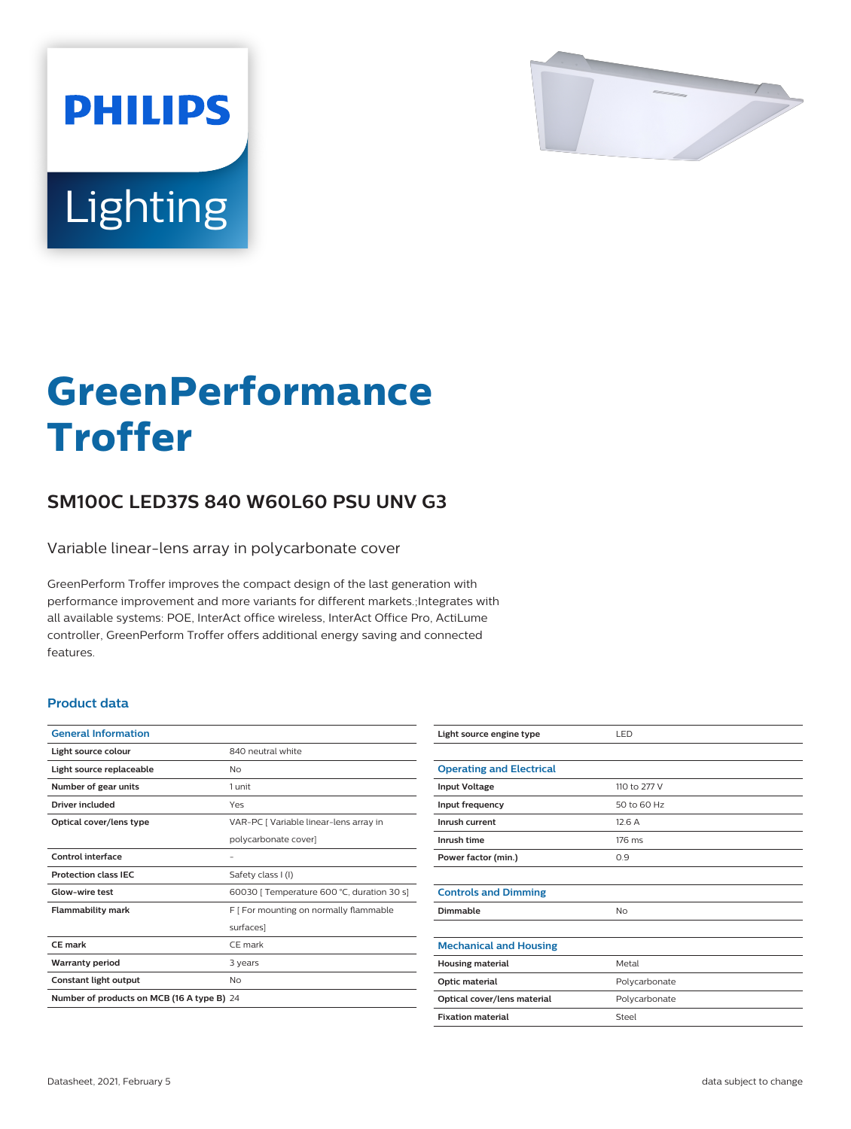

# Lighting

**PHILIPS** 

# **GreenPerformance Troffer**

## **SM100C LED37S 840 W60L60 PSU UNV G3**

Variable linear-lens array in polycarbonate cover

GreenPerform Troffer improves the compact design of the last generation with performance improvement and more variants for different markets.;Integrates with all available systems: POE, InterAct office wireless, InterAct Office Pro, ActiLume controller, GreenPerform Troffer offers additional energy saving and connected features.

#### **Product data**

| <b>General Information</b>                 |                                            |
|--------------------------------------------|--------------------------------------------|
| Light source colour                        | 840 neutral white                          |
| Light source replaceable                   | Nο                                         |
| Number of gear units                       | 1 unit                                     |
| Driver included                            | Yes                                        |
| Optical cover/lens type                    | VAR-PC [ Variable linear-lens array in     |
|                                            | polycarbonate cover]                       |
| Control interface                          |                                            |
| <b>Protection class IEC</b>                | Safety class I (I)                         |
| Glow-wire test                             | 60030   Temperature 600 °C, duration 30 s] |
| <b>Flammability mark</b>                   | F [ For mounting on normally flammable     |
|                                            | surfaces]                                  |
| CF mark                                    | CF mark                                    |
| <b>Warranty period</b>                     | 3 years                                    |
| Constant light output                      | No                                         |
| Number of products on MCB (16 A type B) 24 |                                            |

| Light source engine type        | LED           |
|---------------------------------|---------------|
|                                 |               |
| <b>Operating and Electrical</b> |               |
| <b>Input Voltage</b>            | 110 to 277 V  |
| Input frequency                 | 50 to 60 Hz   |
| Inrush current                  | 12.6A         |
| Inrush time                     | 176 ms        |
| Power factor (min.)             | 0.9           |
|                                 |               |
| <b>Controls and Dimming</b>     |               |
| Dimmable                        | No            |
|                                 |               |
| <b>Mechanical and Housing</b>   |               |
| <b>Housing material</b>         | Metal         |
| Optic material                  | Polycarbonate |
| Optical cover/lens material     | Polycarbonate |
| <b>Fixation material</b>        | Steel         |
|                                 |               |